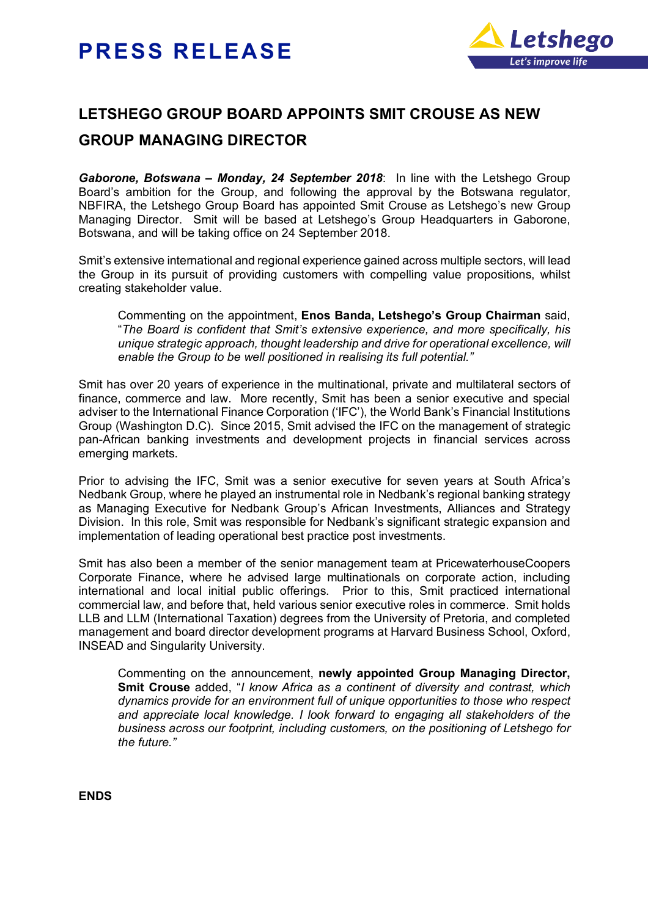## **PRESS RELEASE**



## **LETSHEGO GROUP BOARD APPOINTS SMIT CROUSE AS NEW GROUP MANAGING DIRECTOR**

*Gaborone, Botswana – Monday, 24 September 2018*: In line with the Letshego Group Board's ambition for the Group, and following the approval by the Botswana regulator, NBFIRA, the Letshego Group Board has appointed Smit Crouse as Letshego's new Group Managing Director. Smit will be based at Letshego's Group Headquarters in Gaborone, Botswana, and will be taking office on 24 September 2018.

Smit's extensive international and regional experience gained across multiple sectors, will lead the Group in its pursuit of providing customers with compelling value propositions, whilst creating stakeholder value.

Commenting on the appointment, **Enos Banda, Letshego's Group Chairman** said, "*The Board is confident that Smit's extensive experience, and more specifically, his unique strategic approach, thought leadership and drive for operational excellence, will enable the Group to be well positioned in realising its full potential."*

Smit has over 20 years of experience in the multinational, private and multilateral sectors of finance, commerce and law. More recently, Smit has been a senior executive and special adviser to the International Finance Corporation ('IFC'), the World Bank's Financial Institutions Group (Washington D.C). Since 2015, Smit advised the IFC on the management of strategic pan-African banking investments and development projects in financial services across emerging markets.

Prior to advising the IFC, Smit was a senior executive for seven years at South Africa's Nedbank Group, where he played an instrumental role in Nedbank's regional banking strategy as Managing Executive for Nedbank Group's African Investments, Alliances and Strategy Division. In this role, Smit was responsible for Nedbank's significant strategic expansion and implementation of leading operational best practice post investments.

Smit has also been a member of the senior management team at PricewaterhouseCoopers Corporate Finance, where he advised large multinationals on corporate action, including international and local initial public offerings. Prior to this, Smit practiced international commercial law, and before that, held various senior executive roles in commerce. Smit holds LLB and LLM (International Taxation) degrees from the University of Pretoria, and completed management and board director development programs at Harvard Business School, Oxford, INSEAD and Singularity University.

Commenting on the announcement, **newly appointed Group Managing Director, Smit Crouse** added, "*I know Africa as a continent of diversity and contrast, which dynamics provide for an environment full of unique opportunities to those who respect and appreciate local knowledge. I look forward to engaging all stakeholders of the business across our footprint, including customers, on the positioning of Letshego for the future."*

**ENDS**